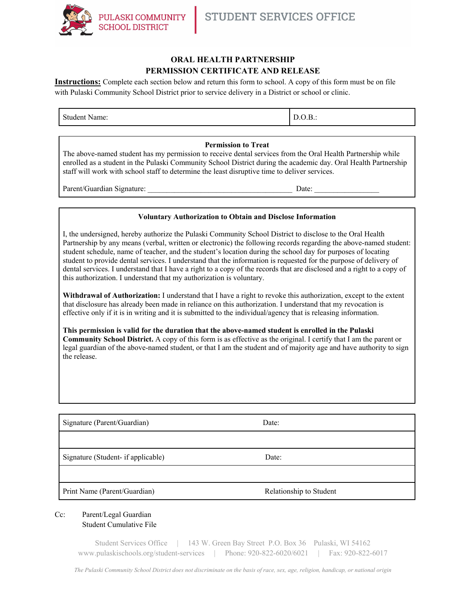

# **ORAL HEALTH PARTNERSHIP PERMISSION CERTIFICATE AND RELEASE**

**Instructions:** Complete each section below and return this form to school. A copy of this form must be on file with Pulaski Community School District prior to service delivery in a District or school or clinic.

| Student.<br>- -<br>Name.<br>D.v.D |
|-----------------------------------|
|-----------------------------------|

#### **Permission to Treat**

The above-named student has my permission to receive dental services from the Oral Health Partnership while enrolled as a student in the Pulaski Community School District during the academic day. Oral Health Partnership staff will work with school staff to determine the least disruptive time to deliver services.

Parent/Guardian Signature: \_\_\_\_\_\_\_\_\_\_\_\_\_\_\_\_\_\_\_\_\_\_\_\_\_\_\_\_\_\_\_\_\_\_\_\_\_\_ Date: \_\_\_\_\_\_\_\_\_\_\_\_\_\_\_\_\_

### **Voluntary Authorization to Obtain and Disclose Information**

I, the undersigned, hereby authorize the Pulaski Community School District to disclose to the Oral Health Partnership by any means (verbal, written or electronic) the following records regarding the above-named student: student schedule, name of teacher, and the student's location during the school day for purposes of locating student to provide dental services. I understand that the information is requested for the purpose of delivery of dental services. I understand that I have a right to a copy of the records that are disclosed and a right to a copy of this authorization. I understand that my authorization is voluntary.

**Withdrawal of Authorization:** I understand that I have a right to revoke this authorization, except to the extent that disclosure has already been made in reliance on this authorization. I understand that my revocation is effective only if it is in writing and it is submitted to the individual/agency that is releasing information.

**This permission is valid for the duration that the above-named student is enrolled in the Pulaski Community School District.** A copy of this form is as effective as the original. I certify that I am the parent or legal guardian of the above-named student, or that I am the student and of majority age and have authority to sign the release.

| Signature (Parent/Guardian)        | Date:                   |
|------------------------------------|-------------------------|
|                                    |                         |
| Signature (Student- if applicable) | Date:                   |
|                                    |                         |
| Print Name (Parent/Guardian)       | Relationship to Student |

## Cc: Parent/Legal Guardian Student Cumulative File

Student Services Office | 143 W. Green Bay Street P.O. Box 36 Pulaski, WI 54162 www.pulaskischools.org/student-services | Phone: 920-822-6020/6021 | Fax: 920-822-6017